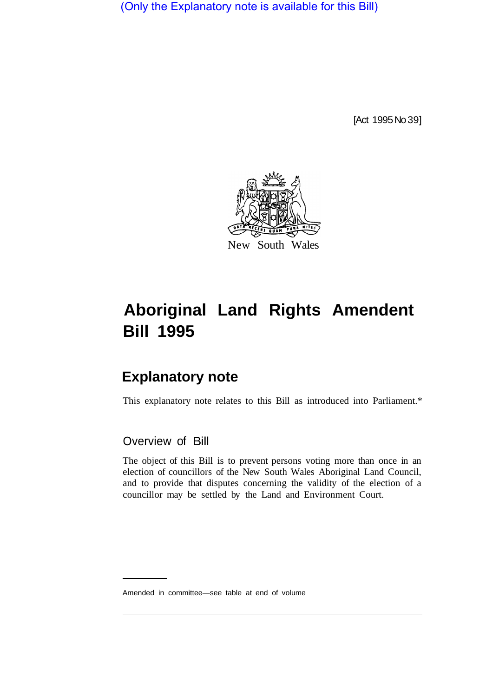(Only the Explanatory note is available for this Bill)

[Act 1995 No 39]



# **Aboriginal Land Rights Amendent Bill 1995**

## **Explanatory note**

This explanatory note relates to this Bill as introduced into Parliament.\*

### Overview of Bill

The object of this Bill is to prevent persons voting more than once in an election of councillors of the New South Wales Aboriginal Land Council, and to provide that disputes concerning the validity of the election of a councillor may be settled by the Land and Environment Court.

Amended in committee—see table at end of volume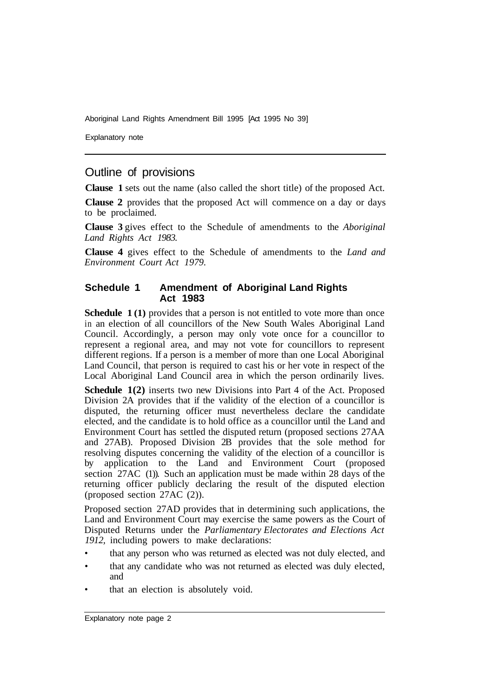Aboriginal Land Rights Amendment Bill 1995 [Act 1995 No 39]

Explanatory note

#### Outline of provisions

**Clause 1** sets out the name (also called the short title) of the proposed Act.

**Clause 2** provides that the proposed Act will commence on a day or days to be proclaimed.

**Clause 3** gives effect to the Schedule of amendments to the *Aboriginal Land Rights Act 1983.* 

**Clause 4** gives effect to the Schedule of amendments to the *Land and Environment Court Act 1979.* 

#### **Schedule 1 Amendment of Aboriginal Land Rights Act 1983**

**Schedule 1(1)** provides that a person is not entitled to vote more than once in an election of all councillors of the New South Wales Aboriginal Land Council. Accordingly, a person may only vote once for a councillor to represent a regional area, and may not vote for councillors to represent different regions. If a person is a member of more than one Local Aboriginal Land Council, that person is required to cast his or her vote in respect of the Local Aboriginal Land Council area in which the person ordinarily lives.

**Schedule 1(2)** inserts two new Divisions into Part 4 of the Act. Proposed Division 2A provides that if the validity of the election of a councillor is disputed, the returning officer must nevertheless declare the candidate elected, and the candidate is to hold office as a councillor until the Land and Environment Court has settled the disputed return (proposed sections 27AA and 27AB). Proposed Division 2B provides that the sole method for resolving disputes concerning the validity of the election of a councillor is by application to the Land and Environment Court (proposed section 27AC (1)). Such an application must be made within 28 days of the returning officer publicly declaring the result of the disputed election (proposed section 27AC (2)).

Proposed section 27AD provides that in determining such applications, the Land and Environment Court may exercise the same powers as the Court of Disputed Returns under the *Parliamentary Electorates and Elections Act 1912,* including powers to make declarations:

- that any person who was returned as elected was not duly elected, and
- that any candidate who was not returned as elected was duly elected, and
- that an election is absolutely void.